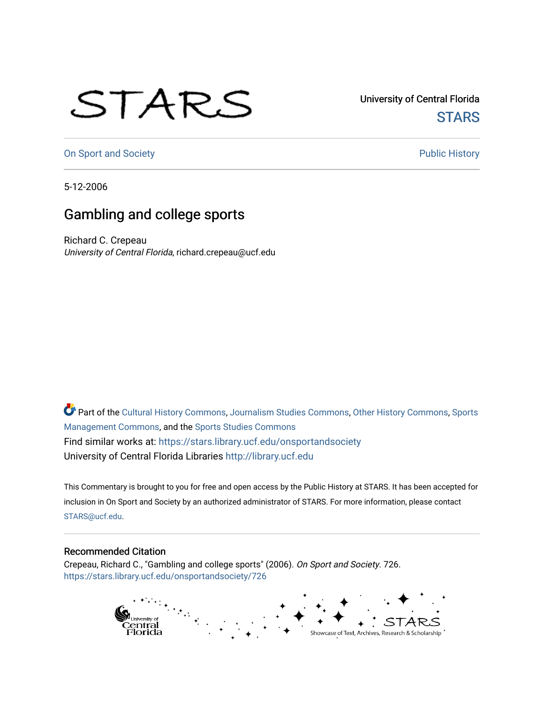## STARS

University of Central Florida **STARS** 

[On Sport and Society](https://stars.library.ucf.edu/onsportandsociety) **Public History** Public History

5-12-2006

## Gambling and college sports

Richard C. Crepeau University of Central Florida, richard.crepeau@ucf.edu

Part of the [Cultural History Commons](http://network.bepress.com/hgg/discipline/496?utm_source=stars.library.ucf.edu%2Fonsportandsociety%2F726&utm_medium=PDF&utm_campaign=PDFCoverPages), [Journalism Studies Commons,](http://network.bepress.com/hgg/discipline/333?utm_source=stars.library.ucf.edu%2Fonsportandsociety%2F726&utm_medium=PDF&utm_campaign=PDFCoverPages) [Other History Commons,](http://network.bepress.com/hgg/discipline/508?utm_source=stars.library.ucf.edu%2Fonsportandsociety%2F726&utm_medium=PDF&utm_campaign=PDFCoverPages) [Sports](http://network.bepress.com/hgg/discipline/1193?utm_source=stars.library.ucf.edu%2Fonsportandsociety%2F726&utm_medium=PDF&utm_campaign=PDFCoverPages) [Management Commons](http://network.bepress.com/hgg/discipline/1193?utm_source=stars.library.ucf.edu%2Fonsportandsociety%2F726&utm_medium=PDF&utm_campaign=PDFCoverPages), and the [Sports Studies Commons](http://network.bepress.com/hgg/discipline/1198?utm_source=stars.library.ucf.edu%2Fonsportandsociety%2F726&utm_medium=PDF&utm_campaign=PDFCoverPages) Find similar works at: <https://stars.library.ucf.edu/onsportandsociety> University of Central Florida Libraries [http://library.ucf.edu](http://library.ucf.edu/) 

This Commentary is brought to you for free and open access by the Public History at STARS. It has been accepted for inclusion in On Sport and Society by an authorized administrator of STARS. For more information, please contact [STARS@ucf.edu](mailto:STARS@ucf.edu).

## Recommended Citation

Crepeau, Richard C., "Gambling and college sports" (2006). On Sport and Society. 726. [https://stars.library.ucf.edu/onsportandsociety/726](https://stars.library.ucf.edu/onsportandsociety/726?utm_source=stars.library.ucf.edu%2Fonsportandsociety%2F726&utm_medium=PDF&utm_campaign=PDFCoverPages)

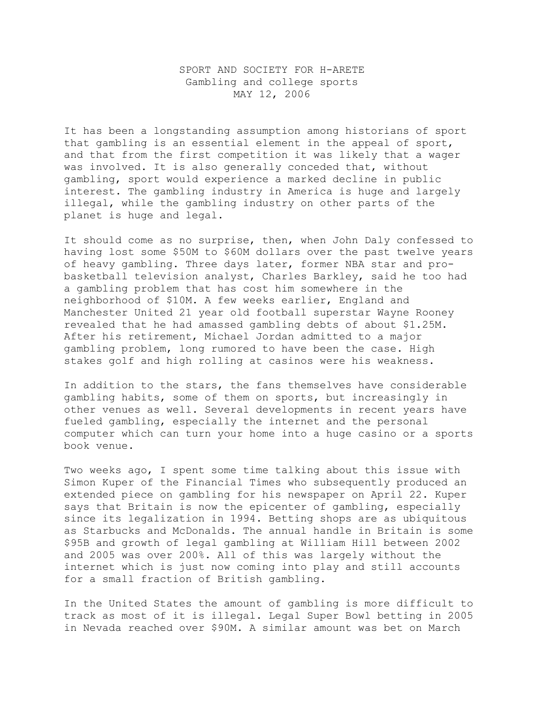## SPORT AND SOCIETY FOR H-ARETE Gambling and college sports MAY 12, 2006

It has been a longstanding assumption among historians of sport that gambling is an essential element in the appeal of sport, and that from the first competition it was likely that a wager was involved. It is also generally conceded that, without gambling, sport would experience a marked decline in public interest. The gambling industry in America is huge and largely illegal, while the gambling industry on other parts of the planet is huge and legal.

It should come as no surprise, then, when John Daly confessed to having lost some \$50M to \$60M dollars over the past twelve years of heavy gambling. Three days later, former NBA star and probasketball television analyst, Charles Barkley, said he too had a gambling problem that has cost him somewhere in the neighborhood of \$10M. A few weeks earlier, England and Manchester United 21 year old football superstar Wayne Rooney revealed that he had amassed gambling debts of about \$1.25M. After his retirement, Michael Jordan admitted to a major gambling problem, long rumored to have been the case. High stakes golf and high rolling at casinos were his weakness.

In addition to the stars, the fans themselves have considerable gambling habits, some of them on sports, but increasingly in other venues as well. Several developments in recent years have fueled gambling, especially the internet and the personal computer which can turn your home into a huge casino or a sports book venue.

Two weeks ago, I spent some time talking about this issue with Simon Kuper of the Financial Times who subsequently produced an extended piece on gambling for his newspaper on April 22. Kuper says that Britain is now the epicenter of gambling, especially since its legalization in 1994. Betting shops are as ubiquitous as Starbucks and McDonalds. The annual handle in Britain is some \$95B and growth of legal gambling at William Hill between 2002 and 2005 was over 200%. All of this was largely without the internet which is just now coming into play and still accounts for a small fraction of British gambling.

In the United States the amount of gambling is more difficult to track as most of it is illegal. Legal Super Bowl betting in 2005 in Nevada reached over \$90M. A similar amount was bet on March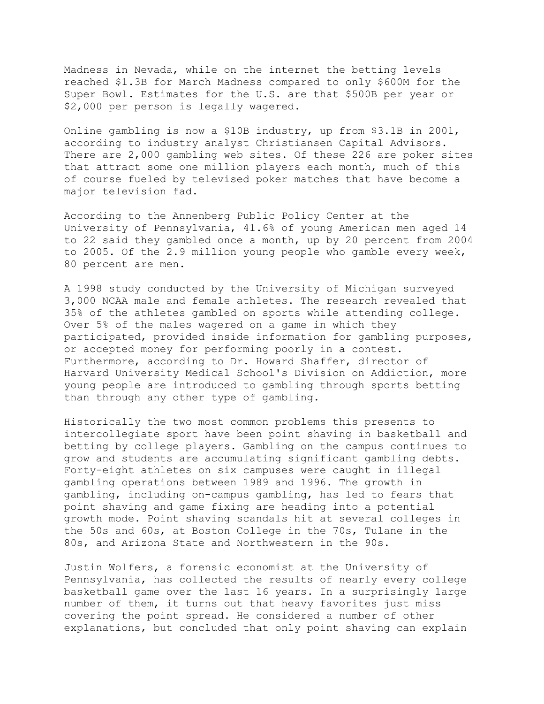Madness in Nevada, while on the internet the betting levels reached \$1.3B for March Madness compared to only \$600M for the Super Bowl. Estimates for the U.S. are that \$500B per year or \$2,000 per person is legally wagered.

Online gambling is now a \$10B industry, up from \$3.1B in 2001, according to industry analyst Christiansen Capital Advisors. There are 2,000 gambling web sites. Of these 226 are poker sites that attract some one million players each month, much of this of course fueled by televised poker matches that have become a major television fad.

According to the Annenberg Public Policy Center at the University of Pennsylvania, 41.6% of young American men aged 14 to 22 said they gambled once a month, up by 20 percent from 2004 to 2005. Of the 2.9 million young people who gamble every week, 80 percent are men.

A 1998 study conducted by the University of Michigan surveyed 3,000 NCAA male and female athletes. The research revealed that 35% of the athletes gambled on sports while attending college. Over 5% of the males wagered on a game in which they participated, provided inside information for gambling purposes, or accepted money for performing poorly in a contest. Furthermore, according to Dr. Howard Shaffer, director of Harvard University Medical School's Division on Addiction, more young people are introduced to gambling through sports betting than through any other type of gambling.

Historically the two most common problems this presents to intercollegiate sport have been point shaving in basketball and betting by college players. Gambling on the campus continues to grow and students are accumulating significant gambling debts. Forty-eight athletes on six campuses were caught in illegal gambling operations between 1989 and 1996. The growth in gambling, including on-campus gambling, has led to fears that point shaving and game fixing are heading into a potential growth mode. Point shaving scandals hit at several colleges in the 50s and 60s, at Boston College in the 70s, Tulane in the 80s, and Arizona State and Northwestern in the 90s.

Justin Wolfers, a forensic economist at the University of Pennsylvania, has collected the results of nearly every college basketball game over the last 16 years. In a surprisingly large number of them, it turns out that heavy favorites just miss covering the point spread. He considered a number of other explanations, but concluded that only point shaving can explain